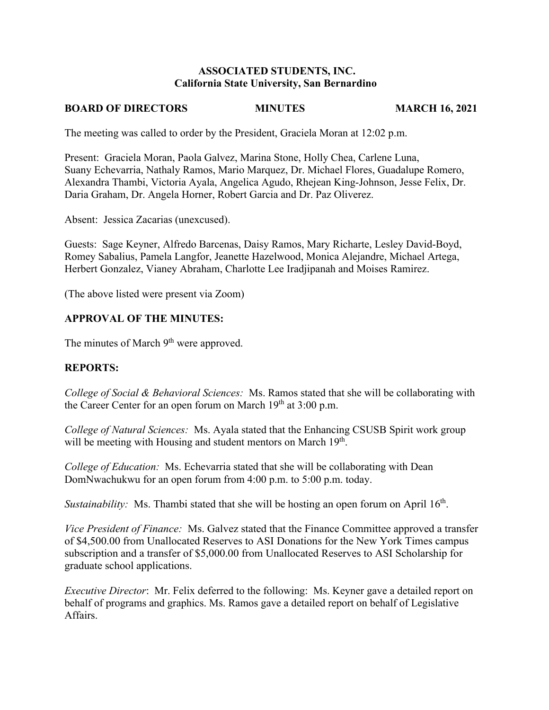## **ASSOCIATED STUDENTS, INC. California State University, San Bernardino**

## **BOARD OF DIRECTORS MINUTES MARCH 16, 2021**

The meeting was called to order by the President, Graciela Moran at 12:02 p.m.

Present: Graciela Moran, Paola Galvez, Marina Stone, Holly Chea, Carlene Luna, Suany Echevarria, Nathaly Ramos, Mario Marquez, Dr. Michael Flores, Guadalupe Romero, Alexandra Thambi, Victoria Ayala, Angelica Agudo, Rhejean King-Johnson, Jesse Felix, Dr. Daria Graham, Dr. Angela Horner, Robert Garcia and Dr. Paz Oliverez.

Absent: Jessica Zacarias (unexcused).

Guests: Sage Keyner, Alfredo Barcenas, Daisy Ramos, Mary Richarte, Lesley David-Boyd, Romey Sabalius, Pamela Langfor, Jeanette Hazelwood, Monica Alejandre, Michael Artega, Herbert Gonzalez, Vianey Abraham, Charlotte Lee Iradjipanah and Moises Ramirez.

(The above listed were present via Zoom)

## **APPROVAL OF THE MINUTES:**

The minutes of March 9<sup>th</sup> were approved.

## **REPORTS:**

*College of Social & Behavioral Sciences:* Ms. Ramos stated that she will be collaborating with the Career Center for an open forum on March  $19<sup>th</sup>$  at  $3:00$  p.m.

*College of Natural Sciences:* Ms. Ayala stated that the Enhancing CSUSB Spirit work group will be meeting with Housing and student mentors on March 19<sup>th</sup>.

*College of Education:* Ms. Echevarria stated that she will be collaborating with Dean DomNwachukwu for an open forum from 4:00 p.m. to 5:00 p.m. today.

*Sustainability:* Ms. Thambi stated that she will be hosting an open forum on April 16<sup>th</sup>.

*Vice President of Finance:* Ms. Galvez stated that the Finance Committee approved a transfer of \$4,500.00 from Unallocated Reserves to ASI Donations for the New York Times campus subscription and a transfer of \$5,000.00 from Unallocated Reserves to ASI Scholarship for graduate school applications.

*Executive Director*: Mr. Felix deferred to the following: Ms. Keyner gave a detailed report on behalf of programs and graphics. Ms. Ramos gave a detailed report on behalf of Legislative Affairs.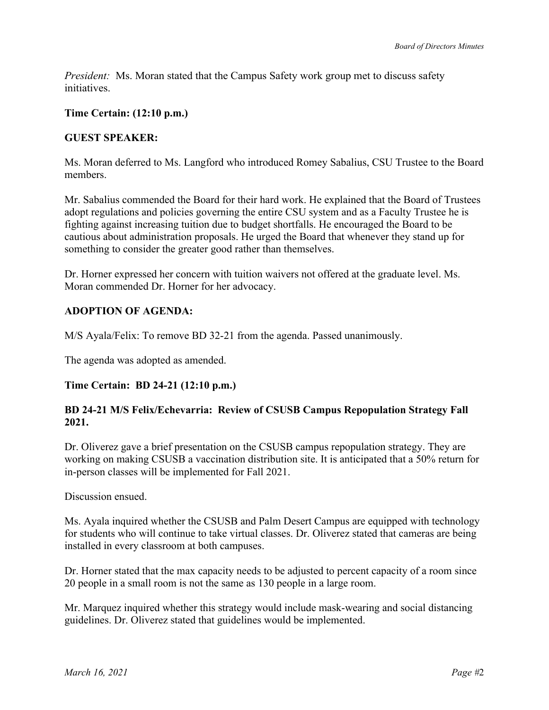*President:* Ms. Moran stated that the Campus Safety work group met to discuss safety initiatives.

## **Time Certain: (12:10 p.m.)**

## **GUEST SPEAKER:**

Ms. Moran deferred to Ms. Langford who introduced Romey Sabalius, CSU Trustee to the Board members.

Mr. Sabalius commended the Board for their hard work. He explained that the Board of Trustees adopt regulations and policies governing the entire CSU system and as a Faculty Trustee he is fighting against increasing tuition due to budget shortfalls. He encouraged the Board to be cautious about administration proposals. He urged the Board that whenever they stand up for something to consider the greater good rather than themselves.

Dr. Horner expressed her concern with tuition waivers not offered at the graduate level. Ms. Moran commended Dr. Horner for her advocacy.

# **ADOPTION OF AGENDA:**

M/S Ayala/Felix: To remove BD 32-21 from the agenda. Passed unanimously.

The agenda was adopted as amended.

## **Time Certain: BD 24-21 (12:10 p.m.)**

## **BD 24-21 M/S Felix/Echevarria: Review of CSUSB Campus Repopulation Strategy Fall 2021.**

Dr. Oliverez gave a brief presentation on the CSUSB campus repopulation strategy. They are working on making CSUSB a vaccination distribution site. It is anticipated that a 50% return for in-person classes will be implemented for Fall 2021.

Discussion ensued.

Ms. Ayala inquired whether the CSUSB and Palm Desert Campus are equipped with technology for students who will continue to take virtual classes. Dr. Oliverez stated that cameras are being installed in every classroom at both campuses.

Dr. Horner stated that the max capacity needs to be adjusted to percent capacity of a room since 20 people in a small room is not the same as 130 people in a large room.

Mr. Marquez inquired whether this strategy would include mask-wearing and social distancing guidelines. Dr. Oliverez stated that guidelines would be implemented.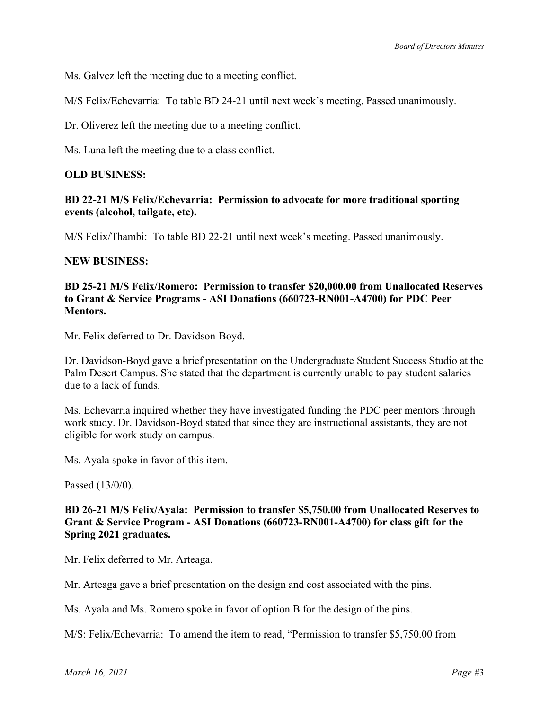Ms. Galvez left the meeting due to a meeting conflict.

M/S Felix/Echevarria: To table BD 24-21 until next week's meeting. Passed unanimously.

Dr. Oliverez left the meeting due to a meeting conflict.

Ms. Luna left the meeting due to a class conflict.

### **OLD BUSINESS:**

## **BD 22-21 M/S Felix/Echevarria: Permission to advocate for more traditional sporting events (alcohol, tailgate, etc).**

M/S Felix/Thambi: To table BD 22-21 until next week's meeting. Passed unanimously.

#### **NEW BUSINESS:**

## **BD 25-21 M/S Felix/Romero: Permission to transfer \$20,000.00 from Unallocated Reserves to Grant & Service Programs - ASI Donations (660723-RN001-A4700) for PDC Peer Mentors.**

Mr. Felix deferred to Dr. Davidson-Boyd.

Dr. Davidson-Boyd gave a brief presentation on the Undergraduate Student Success Studio at the Palm Desert Campus. She stated that the department is currently unable to pay student salaries due to a lack of funds.

Ms. Echevarria inquired whether they have investigated funding the PDC peer mentors through work study. Dr. Davidson-Boyd stated that since they are instructional assistants, they are not eligible for work study on campus.

Ms. Ayala spoke in favor of this item.

Passed (13/0/0).

## **BD 26-21 M/S Felix/Ayala: Permission to transfer \$5,750.00 from Unallocated Reserves to Grant & Service Program - ASI Donations (660723-RN001-A4700) for class gift for the Spring 2021 graduates.**

Mr. Felix deferred to Mr. Arteaga.

Mr. Arteaga gave a brief presentation on the design and cost associated with the pins.

Ms. Ayala and Ms. Romero spoke in favor of option B for the design of the pins.

M/S: Felix/Echevarria: To amend the item to read, "Permission to transfer \$5,750.00 from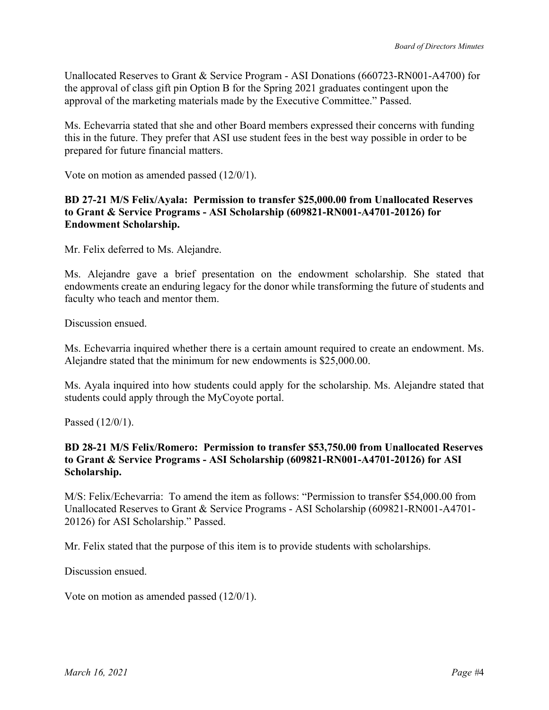Unallocated Reserves to Grant & Service Program - ASI Donations (660723-RN001-A4700) for the approval of class gift pin Option B for the Spring 2021 graduates contingent upon the approval of the marketing materials made by the Executive Committee." Passed.

Ms. Echevarria stated that she and other Board members expressed their concerns with funding this in the future. They prefer that ASI use student fees in the best way possible in order to be prepared for future financial matters.

Vote on motion as amended passed (12/0/1).

## **BD 27-21 M/S Felix/Ayala: Permission to transfer \$25,000.00 from Unallocated Reserves to Grant & Service Programs - ASI Scholarship (609821-RN001-A4701-20126) for Endowment Scholarship.**

Mr. Felix deferred to Ms. Alejandre.

Ms. Alejandre gave a brief presentation on the endowment scholarship. She stated that endowments create an enduring legacy for the donor while transforming the future of students and faculty who teach and mentor them.

Discussion ensued.

Ms. Echevarria inquired whether there is a certain amount required to create an endowment. Ms. Alejandre stated that the minimum for new endowments is \$25,000.00.

Ms. Ayala inquired into how students could apply for the scholarship. Ms. Alejandre stated that students could apply through the MyCoyote portal.

Passed (12/0/1).

## **BD 28-21 M/S Felix/Romero: Permission to transfer \$53,750.00 from Unallocated Reserves to Grant & Service Programs - ASI Scholarship (609821-RN001-A4701-20126) for ASI Scholarship.**

M/S: Felix/Echevarria: To amend the item as follows: "Permission to transfer \$54,000.00 from Unallocated Reserves to Grant & Service Programs - ASI Scholarship (609821-RN001-A4701- 20126) for ASI Scholarship." Passed.

Mr. Felix stated that the purpose of this item is to provide students with scholarships.

Discussion ensued.

Vote on motion as amended passed (12/0/1).